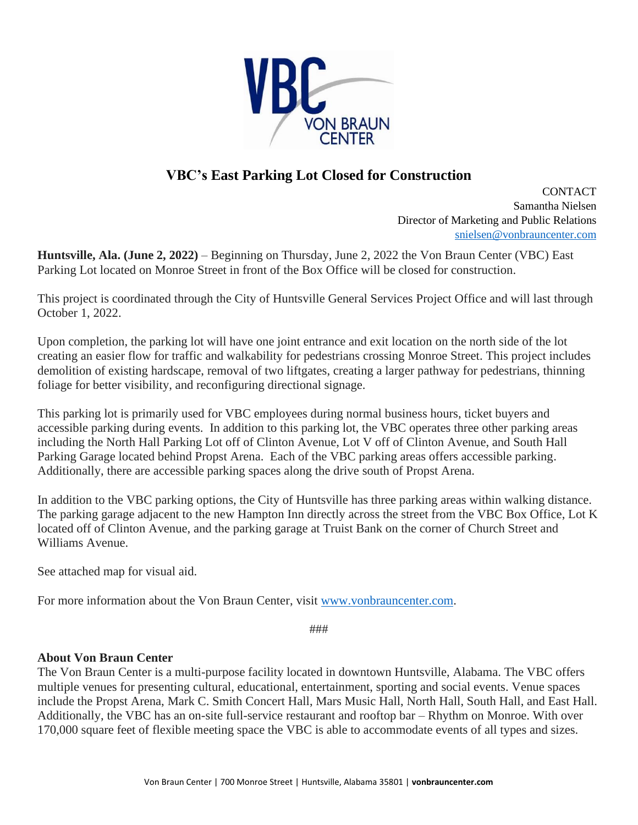

## **VBC's East Parking Lot Closed for Construction**

**CONTACT** Samantha Nielsen Director of Marketing and Public Relations [snielsen@vonbrauncenter.com](mailto:snielsen@vonbrauncenter.com)

**Huntsville, Ala. (June 2, 2022)** – Beginning on Thursday, June 2, 2022 the Von Braun Center (VBC) East Parking Lot located on Monroe Street in front of the Box Office will be closed for construction.

This project is coordinated through the City of Huntsville General Services Project Office and will last through October 1, 2022.

Upon completion, the parking lot will have one joint entrance and exit location on the north side of the lot creating an easier flow for traffic and walkability for pedestrians crossing Monroe Street. This project includes demolition of existing hardscape, removal of two liftgates, creating a larger pathway for pedestrians, thinning foliage for better visibility, and reconfiguring directional signage.

This parking lot is primarily used for VBC employees during normal business hours, ticket buyers and accessible parking during events. In addition to this parking lot, the VBC operates three other parking areas including the North Hall Parking Lot off of Clinton Avenue, Lot V off of Clinton Avenue, and South Hall Parking Garage located behind Propst Arena. Each of the VBC parking areas offers accessible parking. Additionally, there are accessible parking spaces along the drive south of Propst Arena.

In addition to the VBC parking options, the City of Huntsville has three parking areas within walking distance. The parking garage adjacent to the new Hampton Inn directly across the street from the VBC Box Office, Lot K located off of Clinton Avenue, and the parking garage at Truist Bank on the corner of Church Street and Williams Avenue.

See attached map for visual aid.

For more information about the Von Braun Center, visit [www.vonbrauncenter.com.](http://www.vonbrauncenter.com/)

###

## **About Von Braun Center**

The Von Braun Center is a multi-purpose facility located in downtown Huntsville, Alabama. The VBC offers multiple venues for presenting cultural, educational, entertainment, sporting and social events. Venue spaces include the Propst Arena, Mark C. Smith Concert Hall, Mars Music Hall, North Hall, South Hall, and East Hall. Additionally, the VBC has an on-site full-service restaurant and rooftop bar – Rhythm on Monroe. With over 170,000 square feet of flexible meeting space the VBC is able to accommodate events of all types and sizes.